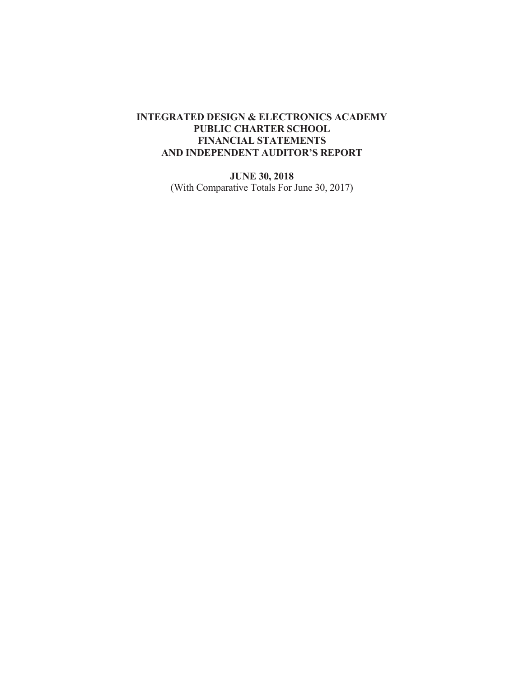# **INTEGRATED DESIGN & ELECTRONICS ACADEMY PUBLIC CHARTER SCHOOL FINANCIAL STATEMENTS AND INDEPENDENT AUDITOR'S REPORT**

**JUNE 30, 2018** (With Comparative Totals For June 30, 2017)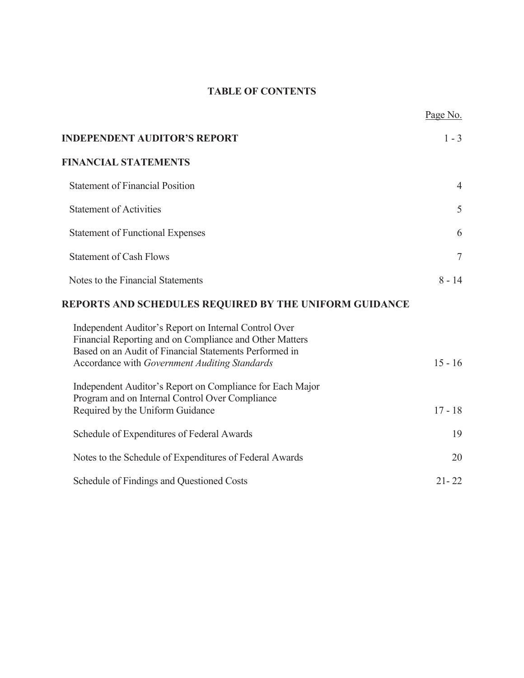# **TABLE OF CONTENTS**

|                                                                                                                                                                                                                             | Page No.       |
|-----------------------------------------------------------------------------------------------------------------------------------------------------------------------------------------------------------------------------|----------------|
| <b>INDEPENDENT AUDITOR'S REPORT</b>                                                                                                                                                                                         | $1 - 3$        |
| <b>FINANCIAL STATEMENTS</b>                                                                                                                                                                                                 |                |
| <b>Statement of Financial Position</b>                                                                                                                                                                                      | $\overline{4}$ |
| <b>Statement of Activities</b>                                                                                                                                                                                              | 5              |
| <b>Statement of Functional Expenses</b>                                                                                                                                                                                     | 6              |
| <b>Statement of Cash Flows</b>                                                                                                                                                                                              | $\overline{7}$ |
| Notes to the Financial Statements                                                                                                                                                                                           | $8 - 14$       |
| REPORTS AND SCHEDULES REQUIRED BY THE UNIFORM GUIDANCE                                                                                                                                                                      |                |
| Independent Auditor's Report on Internal Control Over<br>Financial Reporting and on Compliance and Other Matters<br>Based on an Audit of Financial Statements Performed in<br>Accordance with Government Auditing Standards | $15 - 16$      |
| Independent Auditor's Report on Compliance for Each Major<br>Program and on Internal Control Over Compliance<br>Required by the Uniform Guidance                                                                            | $17 - 18$      |
| Schedule of Expenditures of Federal Awards                                                                                                                                                                                  | 19             |
| Notes to the Schedule of Expenditures of Federal Awards                                                                                                                                                                     | 20             |
| Schedule of Findings and Questioned Costs                                                                                                                                                                                   | $21 - 22$      |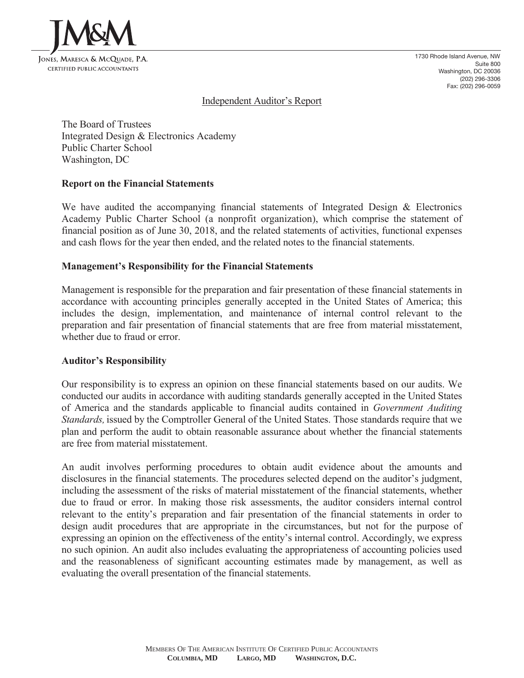

1730 Rhode Island Avenue, NW Suite 800 Washington, DC 20036 (202) 296-3306 Fax: (202) 296-0059

#### Independent Auditor's Report

The Board of Trustees Integrated Design & Electronics Academy Public Charter School Washington, DC

### **Report on the Financial Statements**

We have audited the accompanying financial statements of Integrated Design & Electronics Academy Public Charter School (a nonprofit organization), which comprise the statement of financial position as of June 30, 2018, and the related statements of activities, functional expenses and cash flows for the year then ended, and the related notes to the financial statements.

#### **Management's Responsibility for the Financial Statements**

Management is responsible for the preparation and fair presentation of these financial statements in accordance with accounting principles generally accepted in the United States of America; this includes the design, implementation, and maintenance of internal control relevant to the preparation and fair presentation of financial statements that are free from material misstatement, whether due to fraud or error.

#### **Auditor's Responsibility**

Our responsibility is to express an opinion on these financial statements based on our audits. We conducted our audits in accordance with auditing standards generally accepted in the United States of America and the standards applicable to financial audits contained in *Government Auditing Standards,* issued by the Comptroller General of the United States. Those standards require that we plan and perform the audit to obtain reasonable assurance about whether the financial statements are free from material misstatement.

An audit involves performing procedures to obtain audit evidence about the amounts and disclosures in the financial statements. The procedures selected depend on the auditor's judgment, including the assessment of the risks of material misstatement of the financial statements, whether due to fraud or error. In making those risk assessments, the auditor considers internal control relevant to the entity's preparation and fair presentation of the financial statements in order to design audit procedures that are appropriate in the circumstances, but not for the purpose of expressing an opinion on the effectiveness of the entity's internal control. Accordingly, we express no such opinion. An audit also includes evaluating the appropriateness of accounting policies used and the reasonableness of significant accounting estimates made by management, as well as evaluating the overall presentation of the financial statements.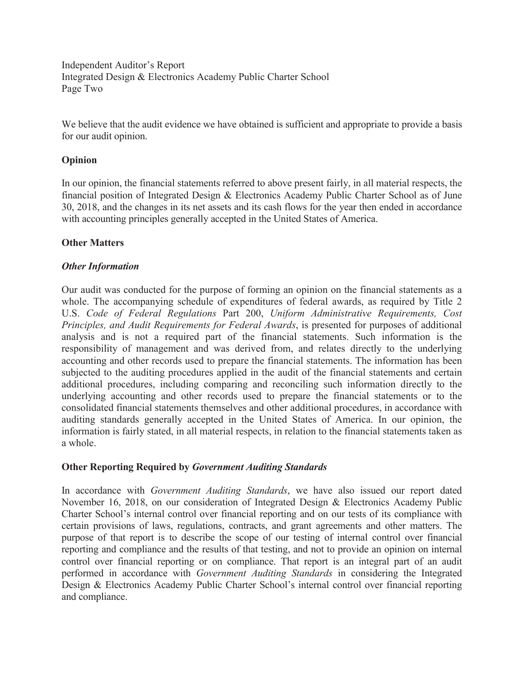Independent Auditor's Report Integrated Design & Electronics Academy Public Charter School Page Two

We believe that the audit evidence we have obtained is sufficient and appropriate to provide a basis for our audit opinion.

# **Opinion**

In our opinion, the financial statements referred to above present fairly, in all material respects, the financial position of Integrated Design & Electronics Academy Public Charter School as of June 30, 2018, and the changes in its net assets and its cash flows for the year then ended in accordance with accounting principles generally accepted in the United States of America.

# **Other Matters**

# *Other Information*

Our audit was conducted for the purpose of forming an opinion on the financial statements as a whole. The accompanying schedule of expenditures of federal awards, as required by Title 2 U.S. *Code of Federal Regulations* Part 200, *Uniform Administrative Requirements, Cost Principles, and Audit Requirements for Federal Awards*, is presented for purposes of additional analysis and is not a required part of the financial statements. Such information is the responsibility of management and was derived from, and relates directly to the underlying accounting and other records used to prepare the financial statements. The information has been subjected to the auditing procedures applied in the audit of the financial statements and certain additional procedures, including comparing and reconciling such information directly to the underlying accounting and other records used to prepare the financial statements or to the consolidated financial statements themselves and other additional procedures, in accordance with auditing standards generally accepted in the United States of America. In our opinion, the information is fairly stated, in all material respects, in relation to the financial statements taken as a whole.

# **Other Reporting Required by** *Government Auditing Standards*

In accordance with *Government Auditing Standards*, we have also issued our report dated November 16, 2018, on our consideration of Integrated Design & Electronics Academy Public Charter School's internal control over financial reporting and on our tests of its compliance with certain provisions of laws, regulations, contracts, and grant agreements and other matters. The purpose of that report is to describe the scope of our testing of internal control over financial reporting and compliance and the results of that testing, and not to provide an opinion on internal control over financial reporting or on compliance. That report is an integral part of an audit performed in accordance with *Government Auditing Standards* in considering the Integrated Design & Electronics Academy Public Charter School's internal control over financial reporting and compliance.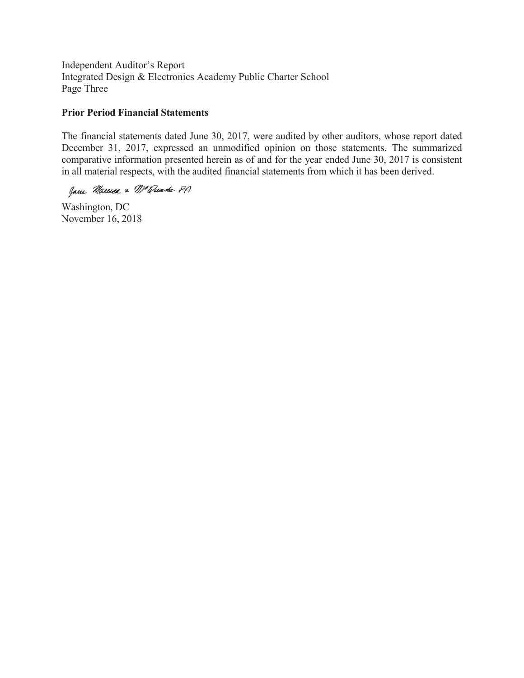Independent Auditor's Report Integrated Design & Electronics Academy Public Charter School Page Three

### **Prior Period Financial Statements**

The financial statements dated June 30, 2017, were audited by other auditors, whose report dated December 31, 2017, expressed an unmodified opinion on those statements. The summarized comparative information presented herein as of and for the year ended June 30, 2017 is consistent in all material respects, with the audited financial statements from which it has been derived.

Jam Marmar & Mc Quade PA

Washington, DC November 16, 2018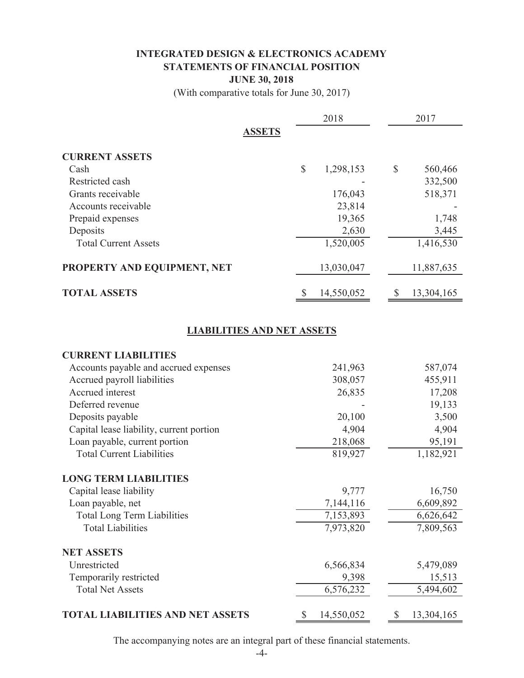# **INTEGRATED DESIGN & ELECTRONICS ACADEMY STATEMENTS OF FINANCIAL POSITION JUNE 30, 2018**

(With comparative totals for June 30, 2017)

|                                          |              | 2018       |               | 2017                   |
|------------------------------------------|--------------|------------|---------------|------------------------|
| <b>ASSETS</b>                            |              |            |               |                        |
| <b>CURRENT ASSETS</b>                    |              |            |               |                        |
| Cash                                     | $\mathbb{S}$ | 1,298,153  | \$            | 560,466                |
| Restricted cash                          |              |            |               | 332,500                |
| Grants receivable                        |              | 176,043    |               | 518,371                |
| Accounts receivable                      |              | 23,814     |               |                        |
| Prepaid expenses                         |              | 19,365     |               | 1,748                  |
| Deposits                                 |              | 2,630      |               | 3,445                  |
| <b>Total Current Assets</b>              |              | 1,520,005  |               | 1,416,530              |
| PROPERTY AND EQUIPMENT, NET              |              | 13,030,047 |               | 11,887,635             |
| <b>TOTAL ASSETS</b>                      | S            | 14,550,052 | <sup>\$</sup> | 13,304,165             |
| <b>LIABILITIES AND NET ASSETS</b>        |              |            |               |                        |
| <b>CURRENT LIABILITIES</b>               |              |            |               |                        |
| Accounts payable and accrued expenses    |              | 241,963    |               | 587,074                |
| Accrued payroll liabilities              |              | 308,057    |               | 455,911                |
| Accrued interest                         |              | 26,835     |               | 17,208                 |
| Deferred revenue                         |              |            |               | 19,133                 |
| Deposits payable                         |              | 20,100     |               | 3,500                  |
| Capital lease liability, current portion |              | 4,904      |               | 4,904                  |
| Loan payable, current portion            |              | 218,068    |               | 95,191                 |
| <b>Total Current Liabilities</b>         |              | 819,927    |               | $\overline{1,182,921}$ |
| <b>LONG TERM LIABILITIES</b>             |              |            |               |                        |
| Capital lease liability                  |              | 9,777      |               | 16,750                 |
| Loan payable, net                        |              | 7,144,116  |               | 6,609,892              |
| <b>Total Long Term Liabilities</b>       |              | 7,153,893  |               | 6,626,642              |
| <b>Total Liabilities</b>                 |              | 7,973,820  |               | 7,809,563              |
| <b>NET ASSETS</b>                        |              |            |               |                        |
| Unrestricted                             |              | 6,566,834  |               | 5,479,089              |
| Temporarily restricted                   |              | 9,398      |               | 15,513                 |
| <b>Total Net Assets</b>                  |              | 6,576,232  |               | 5,494,602              |

| <b>TOTAL LIABILITIES AND NET ASSETS</b> | \$14,550,052 | $\frac{\$}{13,304,165}$ |
|-----------------------------------------|--------------|-------------------------|
|-----------------------------------------|--------------|-------------------------|

The accompanying notes are an integral part of these financial statements.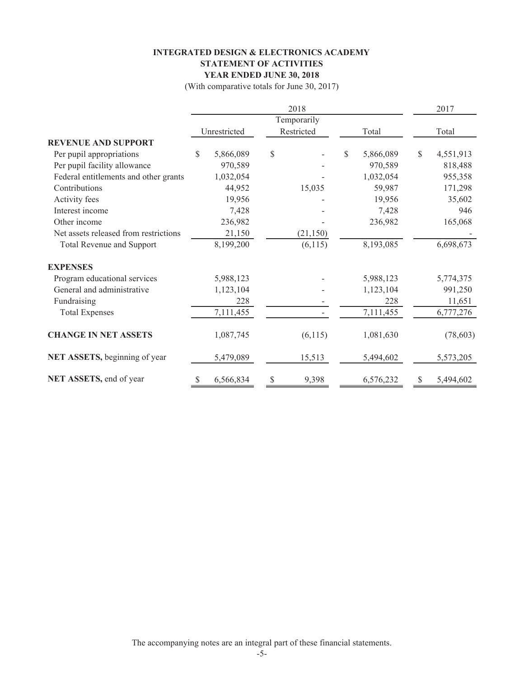### **INTEGRATED DESIGN & ELECTRONICS ACADEMY STATEMENT OF ACTIVITIES YEAR ENDED JUNE 30, 2018**

(With comparative totals for June 30, 2017)

|                                       | 2018 |              |                     |             |       | 2017      |                 |
|---------------------------------------|------|--------------|---------------------|-------------|-------|-----------|-----------------|
|                                       |      |              |                     | Temporarily |       |           |                 |
|                                       |      | Unrestricted | Restricted<br>Total |             | Total |           |                 |
| <b>REVENUE AND SUPPORT</b>            |      |              |                     |             |       |           |                 |
| Per pupil appropriations              | \$   | 5,866,089    | \$                  |             | \$    | 5,866,089 | \$<br>4,551,913 |
| Per pupil facility allowance          |      | 970,589      |                     |             |       | 970,589   | 818,488         |
| Federal entitlements and other grants |      | 1,032,054    |                     |             |       | 1,032,054 | 955,358         |
| Contributions                         |      | 44,952       |                     | 15,035      |       | 59,987    | 171,298         |
| Activity fees                         |      | 19,956       |                     |             |       | 19,956    | 35,602          |
| Interest income                       |      | 7,428        |                     |             |       | 7,428     | 946             |
| Other income                          |      | 236,982      |                     |             |       | 236,982   | 165,068         |
| Net assets released from restrictions |      | 21,150       |                     | (21, 150)   |       |           |                 |
| <b>Total Revenue and Support</b>      |      | 8,199,200    |                     | (6, 115)    |       | 8,193,085 | 6,698,673       |
| <b>EXPENSES</b>                       |      |              |                     |             |       |           |                 |
| Program educational services          |      | 5,988,123    |                     |             |       | 5,988,123 | 5,774,375       |
| General and administrative            |      | 1,123,104    |                     |             |       | 1,123,104 | 991,250         |
| Fundraising                           |      | 228          |                     |             |       | 228       | 11,651          |
| <b>Total Expenses</b>                 |      | 7,111,455    |                     |             |       | 7,111,455 | 6,777,276       |
| <b>CHANGE IN NET ASSETS</b>           |      | 1,087,745    |                     | (6, 115)    |       | 1,081,630 | (78, 603)       |
| NET ASSETS, beginning of year         |      | 5,479,089    |                     | 15,513      |       | 5,494,602 | 5,573,205       |
| NET ASSETS, end of year               | \$   | 6,566,834    | \$                  | 9,398       |       | 6,576,232 | \$<br>5,494,602 |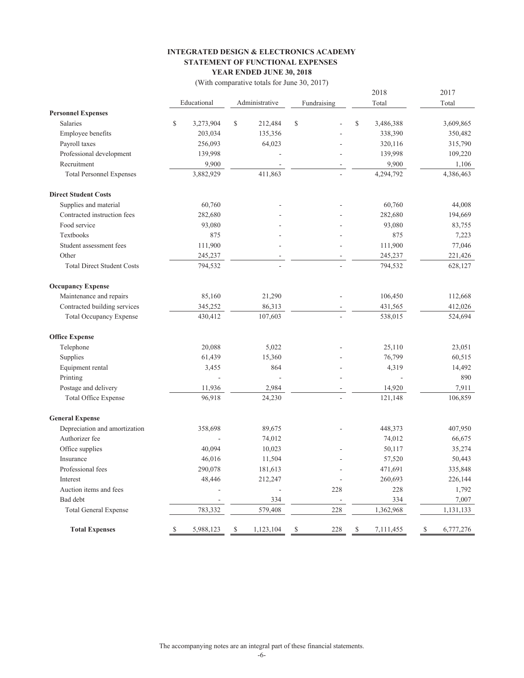#### **INTEGRATED DESIGN & ELECTRONICS ACADEMY STATEMENT OF FUNCTIONAL EXPENSES YEAR ENDED JUNE 30, 2018**

(With comparative totals for June 30, 2017)

|                                   |                 |               |                |             | 2018            |                                                                       | 2017      |
|-----------------------------------|-----------------|---------------|----------------|-------------|-----------------|-----------------------------------------------------------------------|-----------|
|                                   | Educational     |               | Administrative | Fundraising | Total           |                                                                       | Total     |
| <b>Personnel Expenses</b>         |                 |               |                |             |                 |                                                                       |           |
| <b>Salaries</b>                   | \$<br>3,273,904 | $\mathcal{S}$ | 212,484        | \$          | \$<br>3,486,388 |                                                                       | 3,609,865 |
| Employee benefits                 | 203,034         |               | 135,356        |             | 338,390         |                                                                       | 350,482   |
| Payroll taxes                     | 256,093         |               | 64,023         |             | 320,116         |                                                                       | 315,790   |
| Professional development          | 139,998         |               |                |             | 139,998         |                                                                       | 109,220   |
| Recruitment                       | 9,900           |               |                |             | 9,900           |                                                                       | 1,106     |
| <b>Total Personnel Expenses</b>   | 3,882,929       |               | 411,863        |             | 4,294,792       |                                                                       | 4,386,463 |
| <b>Direct Student Costs</b>       |                 |               |                |             |                 |                                                                       |           |
| Supplies and material             | 60,760          |               |                |             | 60,760          |                                                                       | 44,008    |
| Contracted instruction fees       | 282,680         |               |                |             | 282,680         |                                                                       | 194,669   |
| Food service                      | 93,080          |               |                |             | 93,080          |                                                                       | 83,755    |
| Textbooks                         | 875             |               |                |             | 875             |                                                                       | 7,223     |
| Student assessment fees           | 111,900         |               |                |             | 111,900         |                                                                       | 77,046    |
| Other                             | 245,237         |               |                |             | 245,237         |                                                                       | 221,426   |
| <b>Total Direct Student Costs</b> | 794,532         |               |                |             | 794,532         |                                                                       | 628,127   |
| <b>Occupancy Expense</b>          |                 |               |                |             |                 |                                                                       |           |
| Maintenance and repairs           | 85,160          |               | 21,290         |             | 106,450         |                                                                       | 112,668   |
| Contracted building services      | 345,252         |               | 86,313         |             | 431,565         |                                                                       | 412,026   |
| <b>Total Occupancy Expense</b>    | 430,412         |               | 107,603        |             | 538,015         |                                                                       | 524,694   |
| <b>Office Expense</b>             |                 |               |                |             |                 |                                                                       |           |
| Telephone                         | 20,088          |               | 5,022          |             | 25,110          |                                                                       | 23,051    |
| Supplies                          | 61,439          |               | 15,360         |             | 76,799          |                                                                       | 60,515    |
| Equipment rental                  | 3,455           |               | 864            |             | 4,319           |                                                                       | 14,492    |
| Printing                          |                 |               |                |             |                 |                                                                       | 890       |
| Postage and delivery              | 11,936          |               | 2,984          |             | 14,920          |                                                                       | 7,911     |
| <b>Total Office Expense</b>       | 96,918          |               | 24,230         |             | 121,148         |                                                                       | 106,859   |
| <b>General Expense</b>            |                 |               |                |             |                 |                                                                       |           |
| Depreciation and amortization     | 358,698         |               | 89,675         |             | 448,373         |                                                                       | 407,950   |
| Authorizer fee                    |                 |               | 74,012         |             | 74,012          |                                                                       | 66,675    |
| Office supplies                   | 40,094          |               | 10,023         |             | 50,117          |                                                                       | 35,274    |
| Insurance                         | 46,016          |               | 11,504         |             | 57,520          |                                                                       | 50,443    |
| Professional fees                 | 290,078         |               | 181,613        |             | 471,691         |                                                                       | 335,848   |
| Interest                          | 48,446          |               | 212,247        |             | 260,693         |                                                                       | 226,144   |
| Auction items and fees            |                 |               |                | 228         | 228             |                                                                       | 1,792     |
| Bad debt                          |                 |               | 334            |             | 334             |                                                                       | 7,007     |
| <b>Total General Expense</b>      | 783,332         |               | 579,408        | 228         | 1,362,968       |                                                                       | 1,131,133 |
| <b>Total Expenses</b>             | \$<br>5,988,123 | \$            | 1,123,104      | \$<br>228   | \$<br>7,111,455 | $\mathbb{S}% _{t}\left( t\right) \equiv\mathbb{S}_{t}\left( t\right)$ | 6,777,276 |

The accompanying notes are an integral part of these financial statements.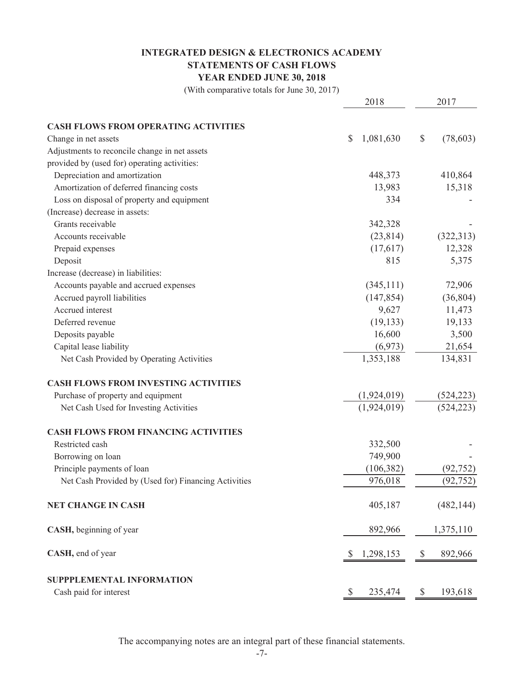# **INTEGRATED DESIGN & ELECTRONICS ACADEMY STATEMENTS OF CASH FLOWS YEAR ENDED JUNE 30, 2018**

(With comparative totals for June 30, 2017)

|                                                      | 2018                       | 2017                     |  |
|------------------------------------------------------|----------------------------|--------------------------|--|
|                                                      |                            |                          |  |
| <b>CASH FLOWS FROM OPERATING ACTIVITIES</b>          |                            |                          |  |
| Change in net assets                                 | \$<br>1,081,630            | $\mathbb{S}$<br>(78,603) |  |
| Adjustments to reconcile change in net assets        |                            |                          |  |
| provided by (used for) operating activities:         |                            |                          |  |
| Depreciation and amortization                        | 448,373                    | 410,864                  |  |
| Amortization of deferred financing costs             | 13,983                     | 15,318                   |  |
| Loss on disposal of property and equipment           | 334                        |                          |  |
| (Increase) decrease in assets:                       |                            |                          |  |
| Grants receivable                                    | 342,328                    |                          |  |
| Accounts receivable                                  | (23, 814)                  | (322, 313)               |  |
| Prepaid expenses                                     | (17,617)                   | 12,328                   |  |
| Deposit                                              | 815                        | 5,375                    |  |
| Increase (decrease) in liabilities:                  |                            |                          |  |
| Accounts payable and accrued expenses                | (345,111)                  | 72,906                   |  |
| Accrued payroll liabilities                          | (147, 854)                 | (36, 804)                |  |
| Accrued interest                                     | 9,627                      | 11,473                   |  |
| Deferred revenue                                     | (19, 133)                  | 19,133                   |  |
| Deposits payable                                     | 16,600                     | 3,500                    |  |
| Capital lease liability                              | (6,973)                    | 21,654                   |  |
| Net Cash Provided by Operating Activities            | 1,353,188                  | 134,831                  |  |
| <b>CASH FLOWS FROM INVESTING ACTIVITIES</b>          |                            |                          |  |
| Purchase of property and equipment                   | (1,924,019)                | (524,223                 |  |
| Net Cash Used for Investing Activities               | (1,924,019)                | (524.223)                |  |
| <b>CASH FLOWS FROM FINANCING ACTIVITIES</b>          |                            |                          |  |
| Restricted cash                                      | 332,500                    |                          |  |
| Borrowing on loan                                    | 749,900                    |                          |  |
| Principle payments of loan                           | (106, 382)                 | (92, 752)                |  |
| Net Cash Provided by (Used for) Financing Activities | 976,018                    | (92, 752)                |  |
| <b>NET CHANGE IN CASH</b>                            | 405,187                    | (482, 144)               |  |
| CASH, beginning of year                              | 892,966                    | 1,375,110                |  |
| CASH, end of year                                    | 1,298,153<br><sup>\$</sup> | 892,966<br>$\mathcal{S}$ |  |
| SUPPPLEMENTAL INFORMATION                            |                            |                          |  |
| Cash paid for interest                               | 235,474<br>\$              | 193,618<br>$\mathbb{S}$  |  |

The accompanying notes are an integral part of these financial statements.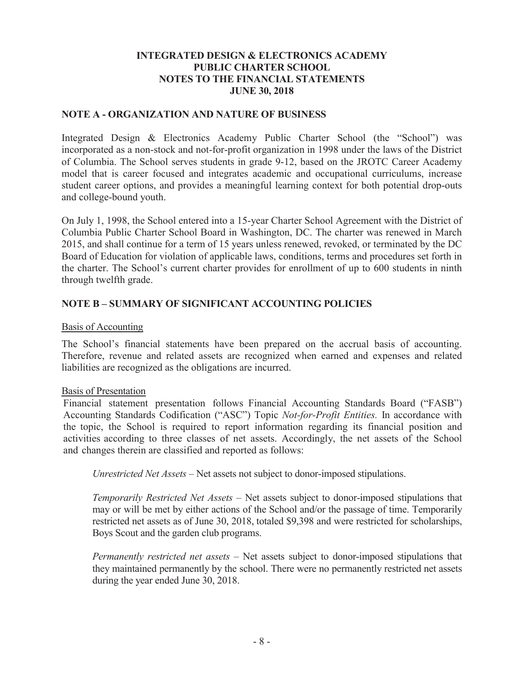### **NOTE A - ORGANIZATION AND NATURE OF BUSINESS**

Integrated Design & Electronics Academy Public Charter School (the "School") was incorporated as a non-stock and not-for-profit organization in 1998 under the laws of the District of Columbia. The School serves students in grade 9-12, based on the JROTC Career Academy model that is career focused and integrates academic and occupational curriculums, increase student career options, and provides a meaningful learning context for both potential drop-outs and college-bound youth.

On July 1, 1998, the School entered into a 15-year Charter School Agreement with the District of Columbia Public Charter School Board in Washington, DC. The charter was renewed in March 2015, and shall continue for a term of 15 years unless renewed, revoked, or terminated by the DC Board of Education for violation of applicable laws, conditions, terms and procedures set forth in the charter. The School's current charter provides for enrollment of up to 600 students in ninth through twelfth grade.

# **NOTE B – SUMMARY OF SIGNIFICANT ACCOUNTING POLICIES**

### Basis of Accounting

The School's financial statements have been prepared on the accrual basis of accounting. Therefore, revenue and related assets are recognized when earned and expenses and related liabilities are recognized as the obligations are incurred.

### Basis of Presentation

Financial statement presentation follows Financial Accounting Standards Board ("FASB") Accounting Standards Codification ("ASC") Topic *Not-for-Profit Entities.* In accordance with the topic, the School is required to report information regarding its financial position and activities according to three classes of net assets. Accordingly, the net assets of the School and changes therein are classified and reported as follows:

*Unrestricted Net Assets* – Net assets not subject to donor-imposed stipulations.

*Temporarily Restricted Net Assets* – Net assets subject to donor-imposed stipulations that may or will be met by either actions of the School and/or the passage of time. Temporarily restricted net assets as of June 30, 2018, totaled \$9,398 and were restricted for scholarships, Boys Scout and the garden club programs.

*Permanently restricted net assets* – Net assets subject to donor-imposed stipulations that they maintained permanently by the school. There were no permanently restricted net assets during the year ended June 30, 2018.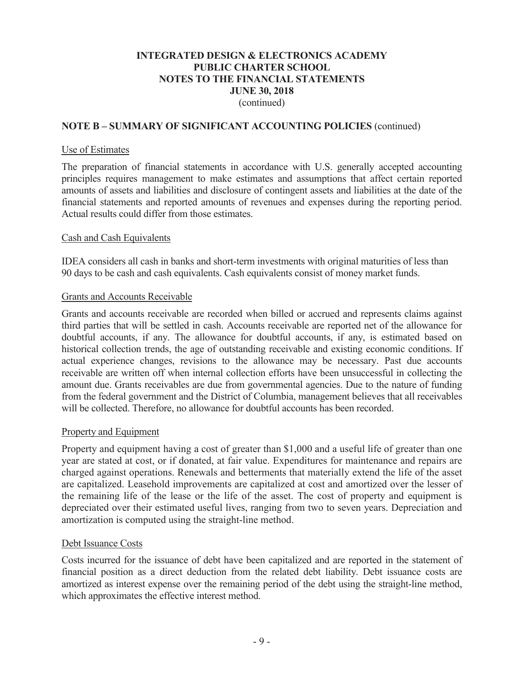### **NOTE B – SUMMARY OF SIGNIFICANT ACCOUNTING POLICIES** (continued)

#### Use of Estimates

The preparation of financial statements in accordance with U.S. generally accepted accounting principles requires management to make estimates and assumptions that affect certain reported amounts of assets and liabilities and disclosure of contingent assets and liabilities at the date of the financial statements and reported amounts of revenues and expenses during the reporting period. Actual results could differ from those estimates.

### Cash and Cash Equivalents

IDEA considers all cash in banks and short-term investments with original maturities of less than 90 days to be cash and cash equivalents. Cash equivalents consist of money market funds.

#### Grants and Accounts Receivable

Grants and accounts receivable are recorded when billed or accrued and represents claims against third parties that will be settled in cash. Accounts receivable are reported net of the allowance for doubtful accounts, if any. The allowance for doubtful accounts, if any, is estimated based on historical collection trends, the age of outstanding receivable and existing economic conditions. If actual experience changes, revisions to the allowance may be necessary. Past due accounts receivable are written off when internal collection efforts have been unsuccessful in collecting the amount due. Grants receivables are due from governmental agencies. Due to the nature of funding from the federal government and the District of Columbia, management believes that all receivables will be collected. Therefore, no allowance for doubtful accounts has been recorded.

### Property and Equipment

Property and equipment having a cost of greater than \$1,000 and a useful life of greater than one year are stated at cost, or if donated, at fair value. Expenditures for maintenance and repairs are charged against operations. Renewals and betterments that materially extend the life of the asset are capitalized. Leasehold improvements are capitalized at cost and amortized over the lesser of the remaining life of the lease or the life of the asset. The cost of property and equipment is depreciated over their estimated useful lives, ranging from two to seven years. Depreciation and amortization is computed using the straight-line method.

#### Debt Issuance Costs

Costs incurred for the issuance of debt have been capitalized and are reported in the statement of financial position as a direct deduction from the related debt liability. Debt issuance costs are amortized as interest expense over the remaining period of the debt using the straight-line method, which approximates the effective interest method.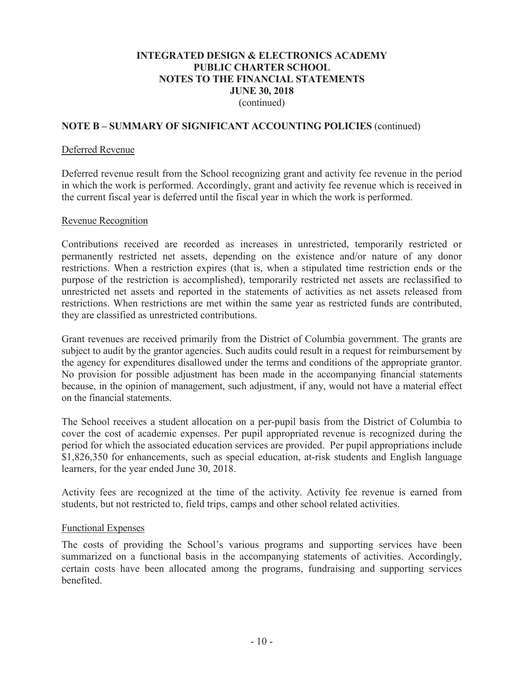### **NOTE B – SUMMARY OF SIGNIFICANT ACCOUNTING POLICIES** (continued)

#### Deferred Revenue

Deferred revenue result from the School recognizing grant and activity fee revenue in the period in which the work is performed. Accordingly, grant and activity fee revenue which is received in the current fiscal year is deferred until the fiscal year in which the work is performed.

#### Revenue Recognition

Contributions received are recorded as increases in unrestricted, temporarily restricted or permanently restricted net assets, depending on the existence and/or nature of any donor restrictions. When a restriction expires (that is, when a stipulated time restriction ends or the purpose of the restriction is accomplished), temporarily restricted net assets are reclassified to unrestricted net assets and reported in the statements of activities as net assets released from restrictions. When restrictions are met within the same year as restricted funds are contributed, they are classified as unrestricted contributions.

Grant revenues are received primarily from the District of Columbia government. The grants are subject to audit by the grantor agencies. Such audits could result in a request for reimbursement by the agency for expenditures disallowed under the terms and conditions of the appropriate grantor. No provision for possible adjustment has been made in the accompanying financial statements because, in the opinion of management, such adjustment, if any, would not have a material effect on the financial statements.

The School receives a student allocation on a per-pupil basis from the District of Columbia to cover the cost of academic expenses. Per pupil appropriated revenue is recognized during the period for which the associated education services are provided. Per pupil appropriations include \$1,826,350 for enhancements, such as special education, at-risk students and English language learners, for the year ended June 30, 2018.

Activity fees are recognized at the time of the activity. Activity fee revenue is earned from students, but not restricted to, field trips, camps and other school related activities.

#### Functional Expenses

The costs of providing the School's various programs and supporting services have been summarized on a functional basis in the accompanying statements of activities. Accordingly, certain costs have been allocated among the programs, fundraising and supporting services benefited.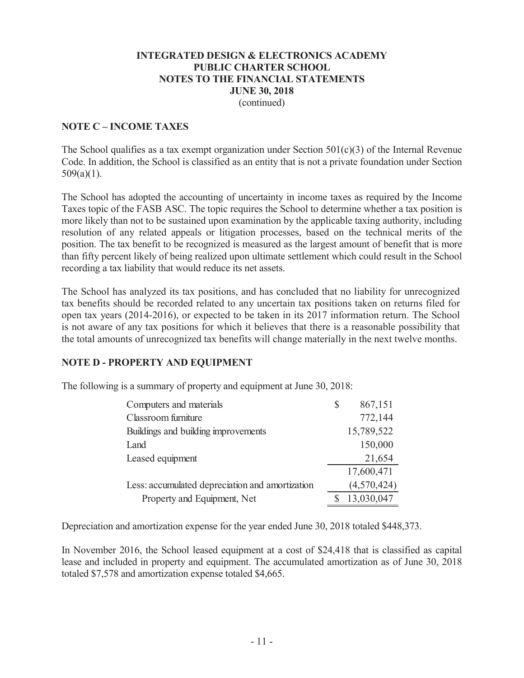# **NOTE C – INCOME TAXES**

The School qualifies as a tax exempt organization under Section  $501(c)(3)$  of the Internal Revenue Code. In addition, the School is classified as an entity that is not a private foundation under Section  $509(a)(1)$ .

The School has adopted the accounting of uncertainty in income taxes as required by the Income Taxes topic of the FASB ASC. The topic requires the School to determine whether a tax position is more likely than not to be sustained upon examination by the applicable taxing authority, including resolution of any related appeals or litigation processes, based on the technical merits of the position. The tax benefit to be recognized is measured as the largest amount of benefit that is more than fifty percent likely of being realized upon ultimate settlement which could result in the School recording a tax liability that would reduce its net assets.

The School has analyzed its tax positions, and has concluded that no liability for unrecognized tax benefits should be recorded related to any uncertain tax positions taken on returns filed for open tax years (2014-2016), or expected to be taken in its 2017 information return. The School is not aware of any tax positions for which it believes that there is a reasonable possibility that the total amounts of unrecognized tax benefits will change materially in the next twelve months.

# **NOTE D - PROPERTY AND EQUIPMENT**

The following is a summary of property and equipment at June 30, 2018:

| Computers and materials                         | \$<br>867,151 |
|-------------------------------------------------|---------------|
| Classroom furniture                             | 772,144       |
| Buildings and building improvements             | 15,789,522    |
| Land                                            | 150,000       |
| Leased equipment                                | 21,654        |
|                                                 | 17,600,471    |
| Less: accumulated depreciation and amortization | (4,570,424)   |
| Property and Equipment, Net                     | 13,030,047    |

Depreciation and amortization expense for the year ended June 30, 2018 totaled \$448,373.

In November 2016, the School leased equipment at a cost of \$24,418 that is classified as capital lease and included in property and equipment. The accumulated amortization as of June 30, 2018 totaled \$7,578 and amortization expense totaled \$4,665.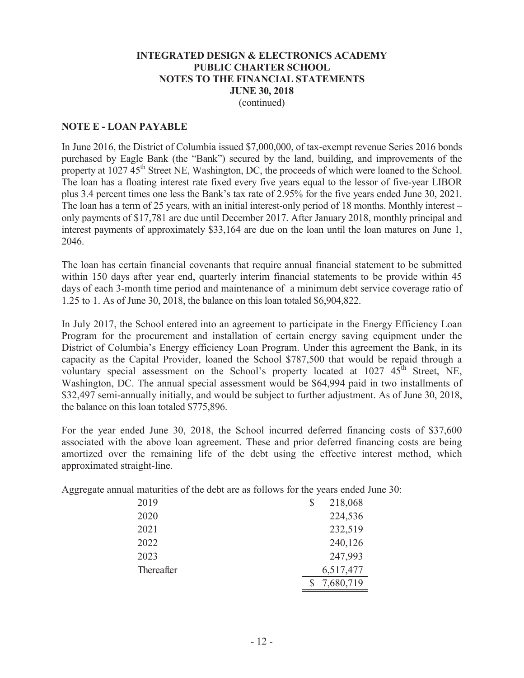### **NOTE E - LOAN PAYABLE**

In June 2016, the District of Columbia issued \$7,000,000, of tax-exempt revenue Series 2016 bonds purchased by Eagle Bank (the "Bank") secured by the land, building, and improvements of the property at 1027 45<sup>th</sup> Street NE, Washington, DC, the proceeds of which were loaned to the School. The loan has a floating interest rate fixed every five years equal to the lessor of five-year LIBOR plus 3.4 percent times one less the Bank's tax rate of 2.95% for the five years ended June 30, 2021. The loan has a term of 25 years, with an initial interest-only period of 18 months. Monthly interest – only payments of \$17,781 are due until December 2017. After January 2018, monthly principal and interest payments of approximately \$33,164 are due on the loan until the loan matures on June 1, 2046.

The loan has certain financial covenants that require annual financial statement to be submitted within 150 days after year end, quarterly interim financial statements to be provide within 45 days of each 3-month time period and maintenance of a minimum debt service coverage ratio of 1.25 to 1. As of June 30, 2018, the balance on this loan totaled \$6,904,822.

In July 2017, the School entered into an agreement to participate in the Energy Efficiency Loan Program for the procurement and installation of certain energy saving equipment under the District of Columbia's Energy efficiency Loan Program. Under this agreement the Bank, in its capacity as the Capital Provider, loaned the School \$787,500 that would be repaid through a voluntary special assessment on the School's property located at 1027 45<sup>th</sup> Street, NE, Washington, DC. The annual special assessment would be \$64,994 paid in two installments of \$32,497 semi-annually initially, and would be subject to further adjustment. As of June 30, 2018, the balance on this loan totaled \$775,896.

For the year ended June 30, 2018, the School incurred deferred financing costs of \$37,600 associated with the above loan agreement. These and prior deferred financing costs are being amortized over the remaining life of the debt using the effective interest method, which approximated straight-line.

Aggregate annual maturities of the debt are as follows for the years ended June 30:

| 2019       | \$<br>218,068 |
|------------|---------------|
| 2020       | 224,536       |
| 2021       | 232,519       |
| 2022       | 240,126       |
| 2023       | 247,993       |
| Thereafter | 6,517,477     |
|            | 7,680,719     |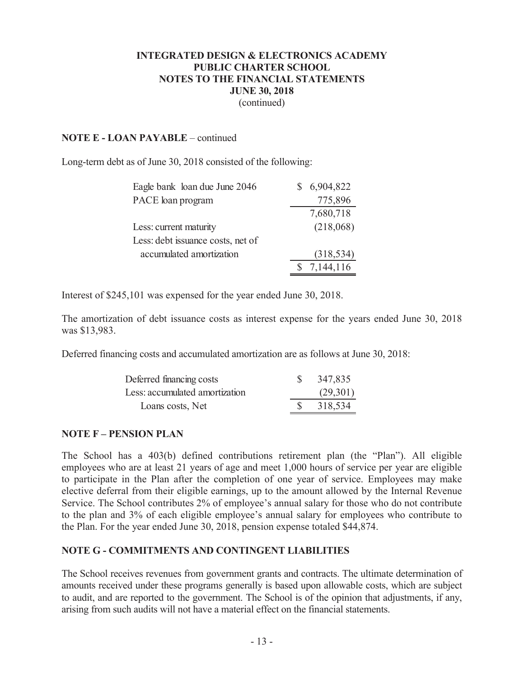### **NOTE E - LOAN PAYABLE** – continued

Long-term debt as of June 30, 2018 consisted of the following:

| Eagle bank loan due June 2046     | \$6,904,822 |
|-----------------------------------|-------------|
| PACE loan program                 | 775,896     |
|                                   | 7,680,718   |
| Less: current maturity            | (218,068)   |
| Less: debt issuance costs, net of |             |
| accumulated amortization          | (318, 534)  |
|                                   | 7,144,116   |

Interest of \$245,101 was expensed for the year ended June 30, 2018.

The amortization of debt issuance costs as interest expense for the years ended June 30, 2018 was \$13,983.

Deferred financing costs and accumulated amortization are as follows at June 30, 2018:

| Deferred financing costs       | 347,835  |
|--------------------------------|----------|
| Less: accumulated amortization | (29,301) |
| Loans costs, Net               | 318,534  |

### **NOTE F – PENSION PLAN**

The School has a 403(b) defined contributions retirement plan (the "Plan"). All eligible employees who are at least 21 years of age and meet 1,000 hours of service per year are eligible to participate in the Plan after the completion of one year of service. Employees may make elective deferral from their eligible earnings, up to the amount allowed by the Internal Revenue Service. The School contributes 2% of employee's annual salary for those who do not contribute to the plan and 3% of each eligible employee's annual salary for employees who contribute to the Plan. For the year ended June 30, 2018, pension expense totaled \$44,874.

### **NOTE G - COMMITMENTS AND CONTINGENT LIABILITIES**

The School receives revenues from government grants and contracts. The ultimate determination of amounts received under these programs generally is based upon allowable costs, which are subject to audit, and are reported to the government. The School is of the opinion that adjustments, if any, arising from such audits will not have a material effect on the financial statements.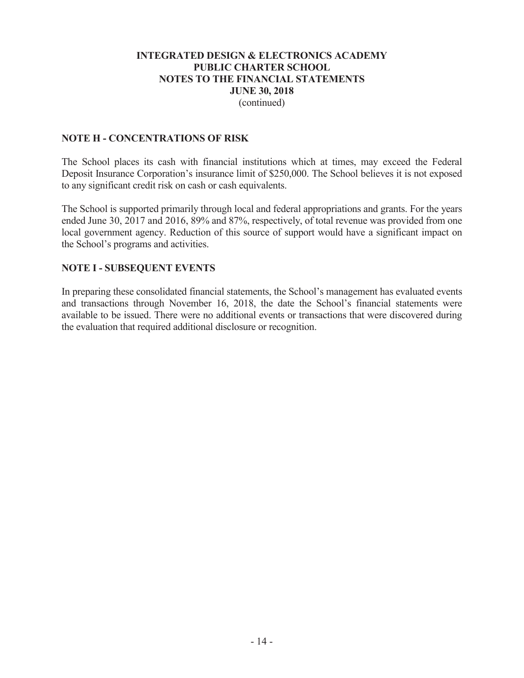### **NOTE H - CONCENTRATIONS OF RISK**

The School places its cash with financial institutions which at times, may exceed the Federal Deposit Insurance Corporation's insurance limit of \$250,000. The School believes it is not exposed to any significant credit risk on cash or cash equivalents.

The School is supported primarily through local and federal appropriations and grants. For the years ended June 30, 2017 and 2016, 89% and 87%, respectively, of total revenue was provided from one local government agency. Reduction of this source of support would have a significant impact on the School's programs and activities.

# **NOTE I - SUBSEQUENT EVENTS**

In preparing these consolidated financial statements, the School's management has evaluated events and transactions through November 16, 2018, the date the School's financial statements were available to be issued. There were no additional events or transactions that were discovered during the evaluation that required additional disclosure or recognition.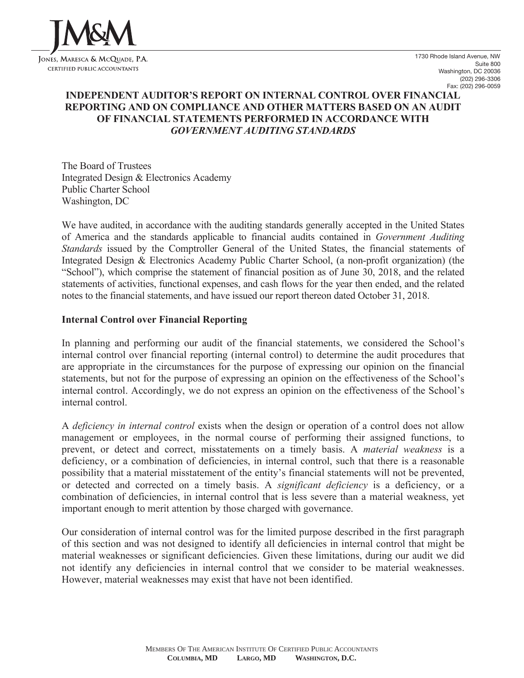

1730 Rhode Island Avenue, NW Suite 800 Washington, DC 20036 (202) 296-3306 Fax: (202) 296-0059

# **INDEPENDENT AUDITOR'S REPORT ON INTERNAL CONTROL OVER FINANCIAL REPORTING AND ON COMPLIANCE AND OTHER MATTERS BASED ON AN AUDIT OF FINANCIAL STATEMENTS PERFORMED IN ACCORDANCE WITH** *GOVERNMENT AUDITING STANDARDS*

The Board of Trustees Integrated Design & Electronics Academy Public Charter School Washington, DC

We have audited, in accordance with the auditing standards generally accepted in the United States of America and the standards applicable to financial audits contained in *Government Auditing Standards* issued by the Comptroller General of the United States, the financial statements of Integrated Design & Electronics Academy Public Charter School, (a non-profit organization) (the "School"), which comprise the statement of financial position as of June 30, 2018, and the related statements of activities, functional expenses, and cash flows for the year then ended, and the related notes to the financial statements, and have issued our report thereon dated October 31, 2018.

# **Internal Control over Financial Reporting**

In planning and performing our audit of the financial statements, we considered the School's internal control over financial reporting (internal control) to determine the audit procedures that are appropriate in the circumstances for the purpose of expressing our opinion on the financial statements, but not for the purpose of expressing an opinion on the effectiveness of the School's internal control. Accordingly, we do not express an opinion on the effectiveness of the School's internal control.

A *deficiency in internal control* exists when the design or operation of a control does not allow management or employees, in the normal course of performing their assigned functions, to prevent, or detect and correct, misstatements on a timely basis. A *material weakness* is a deficiency, or a combination of deficiencies, in internal control, such that there is a reasonable possibility that a material misstatement of the entity's financial statements will not be prevented, or detected and corrected on a timely basis. A *significant deficiency* is a deficiency, or a combination of deficiencies, in internal control that is less severe than a material weakness, yet important enough to merit attention by those charged with governance.

Our consideration of internal control was for the limited purpose described in the first paragraph of this section and was not designed to identify all deficiencies in internal control that might be material weaknesses or significant deficiencies. Given these limitations, during our audit we did not identify any deficiencies in internal control that we consider to be material weaknesses. However, material weaknesses may exist that have not been identified.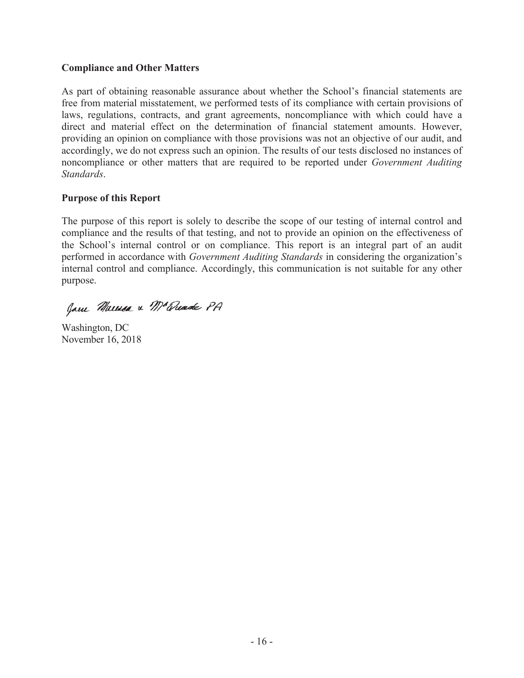# **Compliance and Other Matters**

As part of obtaining reasonable assurance about whether the School's financial statements are free from material misstatement, we performed tests of its compliance with certain provisions of laws, regulations, contracts, and grant agreements, noncompliance with which could have a direct and material effect on the determination of financial statement amounts. However, providing an opinion on compliance with those provisions was not an objective of our audit, and accordingly, we do not express such an opinion. The results of our tests disclosed no instances of noncompliance or other matters that are required to be reported under *Government Auditing Standards*.

# **Purpose of this Report**

The purpose of this report is solely to describe the scope of our testing of internal control and compliance and the results of that testing, and not to provide an opinion on the effectiveness of the School's internal control or on compliance. This report is an integral part of an audit performed in accordance with *Government Auditing Standards* in considering the organization's internal control and compliance. Accordingly, this communication is not suitable for any other purpose.

Jam Marca & Mc Quade PA

Washington, DC November 16, 2018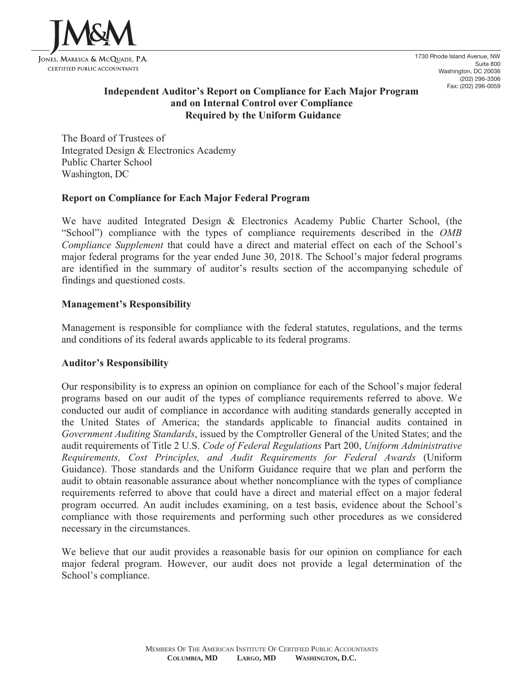

1730 Rhode Island Avenue, NW Suite 800 Washington, DC 20036 (202) 296-3306 Fax: (202) 296-0059

# **Independent Auditor's Report on Compliance for Each Major Program and on Internal Control over Compliance Required by the Uniform Guidance**

The Board of Trustees of Integrated Design & Electronics Academy Public Charter School Washington, DC

# **Report on Compliance for Each Major Federal Program**

We have audited Integrated Design & Electronics Academy Public Charter School, (the "School") compliance with the types of compliance requirements described in the *OMB Compliance Supplement* that could have a direct and material effect on each of the School's major federal programs for the year ended June 30, 2018. The School's major federal programs are identified in the summary of auditor's results section of the accompanying schedule of findings and questioned costs.

### **Management's Responsibility**

Management is responsible for compliance with the federal statutes, regulations, and the terms and conditions of its federal awards applicable to its federal programs.

### **Auditor's Responsibility**

Our responsibility is to express an opinion on compliance for each of the School's major federal programs based on our audit of the types of compliance requirements referred to above. We conducted our audit of compliance in accordance with auditing standards generally accepted in the United States of America; the standards applicable to financial audits contained in *Government Auditing Standards*, issued by the Comptroller General of the United States; and the audit requirements of Title 2 U.S. *Code of Federal Regulations* Part 200, *Uniform Administrative Requirements, Cost Principles, and Audit Requirements for Federal Awards* (Uniform Guidance). Those standards and the Uniform Guidance require that we plan and perform the audit to obtain reasonable assurance about whether noncompliance with the types of compliance requirements referred to above that could have a direct and material effect on a major federal program occurred. An audit includes examining, on a test basis, evidence about the School's compliance with those requirements and performing such other procedures as we considered necessary in the circumstances.

We believe that our audit provides a reasonable basis for our opinion on compliance for each major federal program. However, our audit does not provide a legal determination of the School's compliance.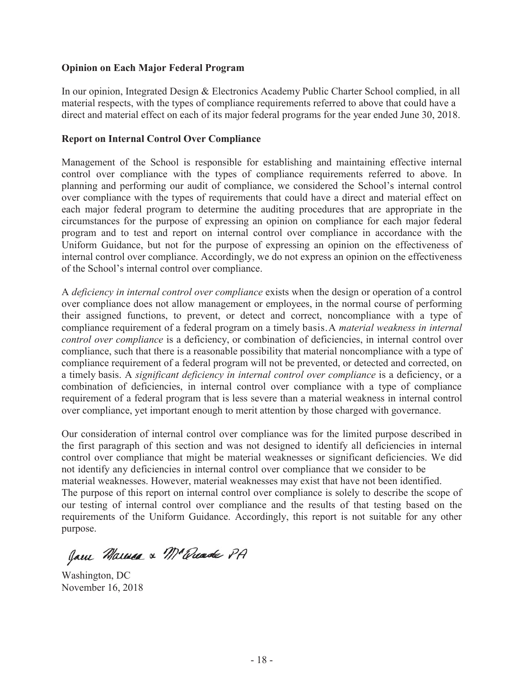### **Opinion on Each Major Federal Program**

In our opinion, Integrated Design & Electronics Academy Public Charter School complied, in all material respects, with the types of compliance requirements referred to above that could have a direct and material effect on each of its major federal programs for the year ended June 30, 2018.

### **Report on Internal Control Over Compliance**

Management of the School is responsible for establishing and maintaining effective internal control over compliance with the types of compliance requirements referred to above. In planning and performing our audit of compliance, we considered the School's internal control over compliance with the types of requirements that could have a direct and material effect on each major federal program to determine the auditing procedures that are appropriate in the circumstances for the purpose of expressing an opinion on compliance for each major federal program and to test and report on internal control over compliance in accordance with the Uniform Guidance, but not for the purpose of expressing an opinion on the effectiveness of internal control over compliance. Accordingly, we do not express an opinion on the effectiveness of the School's internal control over compliance.

A *deficiency in internal control over compliance* exists when the design or operation of a control over compliance does not allow management or employees, in the normal course of performing their assigned functions, to prevent, or detect and correct, noncompliance with a type of compliance requirement of a federal program on a timely basis. A *material weakness in internal control over compliance* is a deficiency, or combination of deficiencies, in internal control over compliance, such that there is a reasonable possibility that material noncompliance with a type of compliance requirement of a federal program will not be prevented, or detected and corrected, on a timely basis. A *significant deficiency in internal control over compliance* is a deficiency, or a combination of deficiencies, in internal control over compliance with a type of compliance requirement of a federal program that is less severe than a material weakness in internal control over compliance, yet important enough to merit attention by those charged with governance.

Our consideration of internal control over compliance was for the limited purpose described in the first paragraph of this section and was not designed to identify all deficiencies in internal control over compliance that might be material weaknesses or significant deficiencies. We did not identify any deficiencies in internal control over compliance that we consider to be material weaknesses. However, material weaknesses may exist that have not been identified. The purpose of this report on internal control over compliance is solely to describe the scope of our testing of internal control over compliance and the results of that testing based on the requirements of the Uniform Guidance. Accordingly, this report is not suitable for any other purpose.

Jam Marcia & Mc Quade PA

Washington, DC November 16, 2018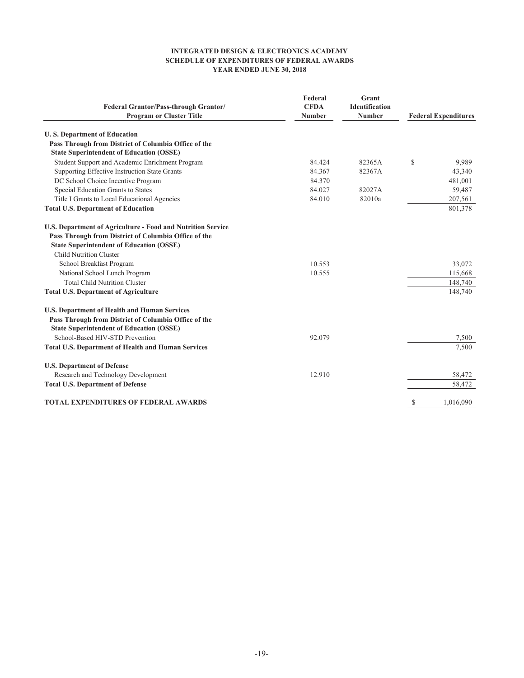#### **SCHEDULE OF EXPENDITURES OF FEDERAL AWARDS YEAR ENDED JUNE 30, 2018 INTEGRATED DESIGN & ELECTRONICS ACADEMY**

| Federal Grantor/Pass-through Grantor/                       | Federal<br><b>CFDA</b> | Grant<br>Identification |               |                             |
|-------------------------------------------------------------|------------------------|-------------------------|---------------|-----------------------------|
| <b>Program or Cluster Title</b>                             | <b>Number</b>          | <b>Number</b>           |               | <b>Federal Expenditures</b> |
| <b>U.S. Department of Education</b>                         |                        |                         |               |                             |
| Pass Through from District of Columbia Office of the        |                        |                         |               |                             |
| <b>State Superintendent of Education (OSSE)</b>             |                        |                         |               |                             |
| Student Support and Academic Enrichment Program             | 84.424                 | 82365A                  | <sup>\$</sup> | 9,989                       |
| Supporting Effective Instruction State Grants               | 84.367                 | 82367A                  |               | 43,340                      |
| DC School Choice Incentive Program                          | 84.370                 |                         |               | 481,001                     |
| Special Education Grants to States                          | 84.027                 | 82027A                  |               | 59,487                      |
| Title I Grants to Local Educational Agencies                | 84.010                 | 82010a                  |               | 207,561                     |
| <b>Total U.S. Department of Education</b>                   |                        |                         |               | 801,378                     |
| U.S. Department of Agriculture - Food and Nutrition Service |                        |                         |               |                             |
| Pass Through from District of Columbia Office of the        |                        |                         |               |                             |
| <b>State Superintendent of Education (OSSE)</b>             |                        |                         |               |                             |
| <b>Child Nutrition Cluster</b>                              |                        |                         |               |                             |
| School Breakfast Program                                    | 10.553                 |                         |               | 33,072                      |
| National School Lunch Program                               | 10.555                 |                         |               | 115,668                     |
| <b>Total Child Nutrition Cluster</b>                        |                        |                         |               | 148,740                     |
| <b>Total U.S. Department of Agriculture</b>                 |                        |                         |               | 148,740                     |
| <b>U.S. Department of Health and Human Services</b>         |                        |                         |               |                             |
| Pass Through from District of Columbia Office of the        |                        |                         |               |                             |
| <b>State Superintendent of Education (OSSE)</b>             |                        |                         |               |                             |
| School-Based HIV-STD Prevention                             | 92.079                 |                         |               | 7,500                       |
| <b>Total U.S. Department of Health and Human Services</b>   |                        |                         |               | 7,500                       |
| <b>U.S. Department of Defense</b>                           |                        |                         |               |                             |
| Research and Technology Development                         | 12.910                 |                         |               | 58,472                      |
| <b>Total U.S. Department of Defense</b>                     |                        |                         |               | 58,472                      |
| <b>TOTAL EXPENDITURES OF FEDERAL AWARDS</b>                 |                        |                         | S             | 1,016,090                   |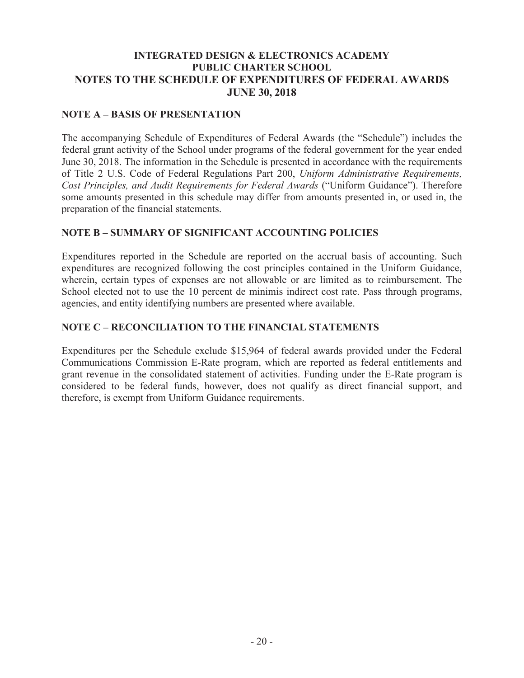# **INTEGRATED DESIGN & ELECTRONICS ACADEMY PUBLIC CHARTER SCHOOL NOTES TO THE SCHEDULE OF EXPENDITURES OF FEDERAL AWARDS JUNE 30, 2018**

# **NOTE A – BASIS OF PRESENTATION**

The accompanying Schedule of Expenditures of Federal Awards (the "Schedule") includes the federal grant activity of the School under programs of the federal government for the year ended June 30, 2018. The information in the Schedule is presented in accordance with the requirements of Title 2 U.S. Code of Federal Regulations Part 200, *Uniform Administrative Requirements, Cost Principles, and Audit Requirements for Federal Awards* ("Uniform Guidance"). Therefore some amounts presented in this schedule may differ from amounts presented in, or used in, the preparation of the financial statements.

# **NOTE B – SUMMARY OF SIGNIFICANT ACCOUNTING POLICIES**

Expenditures reported in the Schedule are reported on the accrual basis of accounting. Such expenditures are recognized following the cost principles contained in the Uniform Guidance, wherein, certain types of expenses are not allowable or are limited as to reimbursement. The School elected not to use the 10 percent de minimis indirect cost rate. Pass through programs, agencies, and entity identifying numbers are presented where available.

# **NOTE C – RECONCILIATION TO THE FINANCIAL STATEMENTS**

Expenditures per the Schedule exclude \$15,964 of federal awards provided under the Federal Communications Commission E-Rate program, which are reported as federal entitlements and grant revenue in the consolidated statement of activities. Funding under the E-Rate program is considered to be federal funds, however, does not qualify as direct financial support, and therefore, is exempt from Uniform Guidance requirements.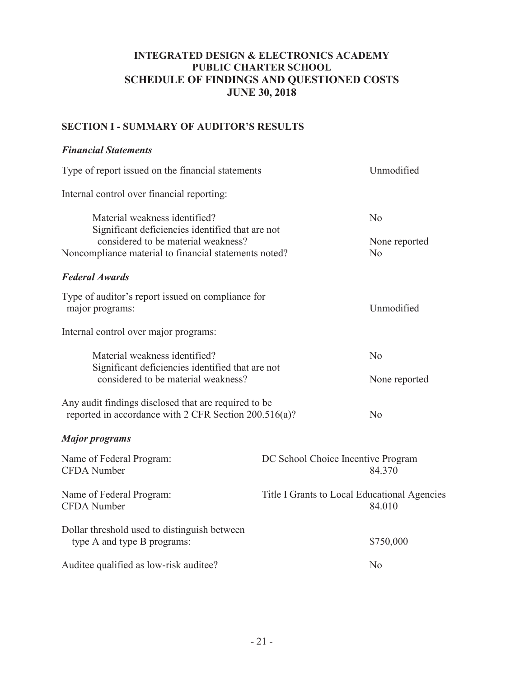# **INTEGRATED DESIGN & ELECTRONICS ACADEMY PUBLIC CHARTER SCHOOL SCHEDULE OF FINDINGS AND QUESTIONED COSTS JUNE 30, 2018**

# **SECTION I - SUMMARY OF AUDITOR'S RESULTS**

#### *Financial Statements*

| Type of report issued on the financial statements                                                                                                | Unmodified                                   |               |
|--------------------------------------------------------------------------------------------------------------------------------------------------|----------------------------------------------|---------------|
| Internal control over financial reporting:                                                                                                       |                                              |               |
| Material weakness identified?                                                                                                                    |                                              | No            |
| Significant deficiencies identified that are not<br>considered to be material weakness?<br>Noncompliance material to financial statements noted? | None reported<br>No                          |               |
| <b>Federal Awards</b>                                                                                                                            |                                              |               |
| Type of auditor's report issued on compliance for<br>major programs:                                                                             |                                              | Unmodified    |
| Internal control over major programs:                                                                                                            |                                              |               |
| Material weakness identified?                                                                                                                    |                                              | No            |
| Significant deficiencies identified that are not<br>considered to be material weakness?                                                          |                                              | None reported |
| Any audit findings disclosed that are required to be<br>reported in accordance with 2 CFR Section 200.516(a)?                                    |                                              | No            |
| <b>Major programs</b>                                                                                                                            |                                              |               |
| Name of Federal Program:<br><b>CFDA</b> Number                                                                                                   | DC School Choice Incentive Program           | 84.370        |
| Name of Federal Program:<br><b>CFDA</b> Number                                                                                                   | Title I Grants to Local Educational Agencies | 84.010        |
| Dollar threshold used to distinguish between<br>type A and type B programs:                                                                      |                                              | \$750,000     |
| Auditee qualified as low-risk auditee?                                                                                                           |                                              | No            |